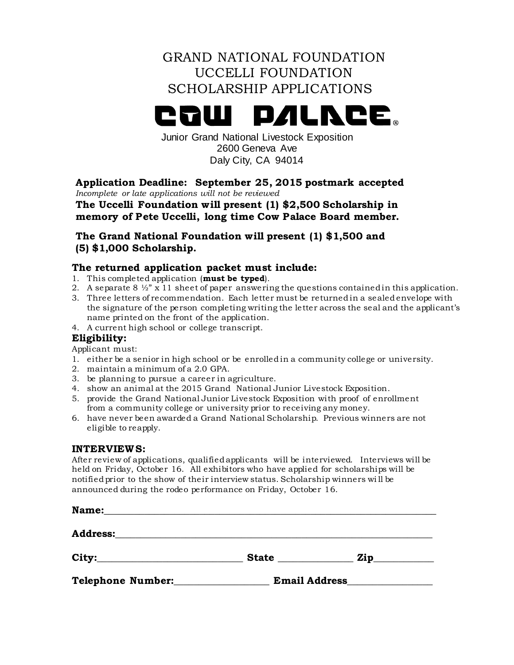# GRAND NATIONAL FOUNDATION UCCELLI FOUNDATION SCHOLARSHIP APPLICATIONS

## **PALNCE PAMI**

Junior Grand National Livestock Exposition 2600 Geneva Ave Daly City, CA 94014

**Application Deadline: September 25, 2015 postmark accepted** *Incomplete or late applications will not be reviewed*

**The Uccelli Foundation will present (1) \$2,500 Scholarship in memory of Pete Uccelli, long time Cow Palace Board member.**

**The Grand National Foundation will present (1) \$1,500 and (5) \$1,000 Scholarship.**

#### **The returned application packet must include:**

- 1. This completed application (**must be typed**).
- 2. A separate 8  $\frac{1}{2}$  x 11 sheet of paper answering the questions contained in this application.
- 3. Three letters of recommendation. Each letter must be returned in a sealed envelope with the signature of the person completing writing the letter across the seal and the applicant's name printed on the front of the application.
- 4. A current high school or college transcript.

## **Eligibility:**

Applicant must:

- 1. either be a senior in high school or be enrolled in a community college or university.
- 2. maintain a minimum of a 2.0 GPA.
- 3. be planning to pursue a career in agriculture.
- 4. show an animal at the 2015 Grand National Junior Livestock Exposition.
- 5. provide the Grand National Junior Livestock Exposition with proof of enrollment from a community college or university prior to receiving any money.
- 6. have never been awarded a Grand National Scholarship. Previous winners are not eligible to reapply.

#### **INTERVIEWS:**

After review of applications, qualified applicants will be interviewed. Interviews will be held on Friday, October 16. All exhibitors who have applied for scholarships will be notified prior to the show of their interview status. Scholarship winners wi ll be announced during the rodeo performance on Friday, October 16.

| Name:             |                      |     |
|-------------------|----------------------|-----|
|                   |                      |     |
|                   | <b>State</b>         | Zip |
| Telephone Number: | <b>Email Address</b> |     |